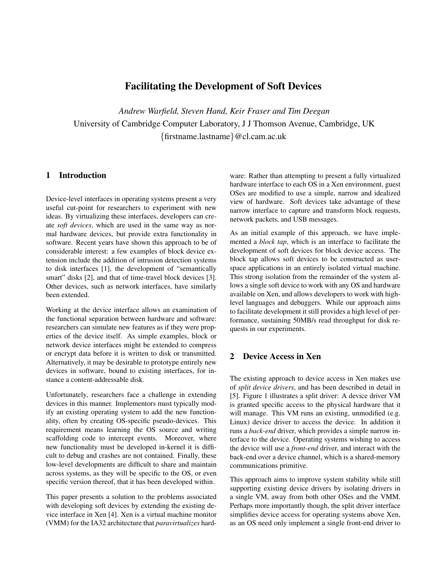# **Facilitating the Development of Soft Devices**

*Andrew Warfield, Steven Hand, Keir Fraser and Tim Deegan* University of Cambridge Computer Laboratory, J J Thomson Avenue, Cambridge, UK {firstname.lastname}@cl.cam.ac.uk

#### **1 Introduction**

Device-level interfaces in operating systems present a very useful cut-point for researchers to experiment with new ideas. By virtualizing these interfaces, developers can create *soft devices*, which are used in the same way as normal hardware devices, but provide extra functionality in software. Recent years have shown this approach to be of considerable interest: a few examples of block device extension include the addition of intrusion detection systems to disk interfaces [1], the development of "semantically smart" disks [2], and that of time-travel block devices [3]. Other devices, such as network interfaces, have similarly been extended.

Working at the device interface allows an examination of the functional separation between hardware and software: researchers can simulate new features as if they were properties of the device itself. As simple examples, block or network device interfaces might be extended to compress or encrypt data before it is written to disk or transmitted. Alternatively, it may be desirable to prototype entirely new devices in software, bound to existing interfaces, for instance a content-addressable disk.

Unfortunately, researchers face a challenge in extending devices in this manner. Implementors must typically modify an existing operating system to add the new functionality, often by creating OS-specific pseudo-devices. This requirement means learning the OS source and writing scaffolding code to intercept events. Moreover, where new functionality must be developed in-kernel it is difficult to debug and crashes are not contained. Finally, these low-level developments are difficult to share and maintain across systems, as they will be specific to the OS, or even specific version thereof, that it has been developed within.

This paper presents a solution to the problems associated with developing soft devices by extending the existing device interface in Xen [4]. Xen is a virtual machine monitor (VMM) for the IA32 architecture that *paravirtualizes* hardware: Rather than attempting to present a fully virtualized hardware interface to each OS in a Xen environment, guest OSes are modified to use a simple, narrow and idealized view of hardware. Soft devices take advantage of these narrow interface to capture and transform block requests, network packets, and USB messages.

As an initial example of this approach, we have implemented a *block tap*, which is an interface to facilitate the development of soft devices for block device access. The block tap allows soft devices to be constructed as userspace applications in an entirely isolated virtual machine. This strong isolation from the remainder of the system allows a single soft device to work with any OS and hardware available on Xen, and allows developers to work with highlevel languages and debuggers. While our approach aims to facilitate development it still provides a high level of performance, sustaining 50MB/s read throughput for disk requests in our experiments.

# **2 Device Access in Xen**

The existing approach to device access in Xen makes use of *split device drivers*, and has been described in detail in [5]. Figure 1 illustrates a split driver: A device driver VM is granted specific access to the physical hardware that it will manage. This VM runs an existing, unmodified (e.g. Linux) device driver to access the device. In addition it runs a *back-end* driver, which provides a simple narrow interface to the device. Operating systems wishing to access the device will use a *front-end* driver, and interact with the back-end over a device channel, which is a shared-memory communications primitive.

This approach aims to improve system stability while still supporting existing device drivers by isolating drivers in a single VM, away from both other OSes and the VMM. Perhaps more importantly though, the split driver interface simplifies device access for operating systems above Xen, as an OS need only implement a single front-end driver to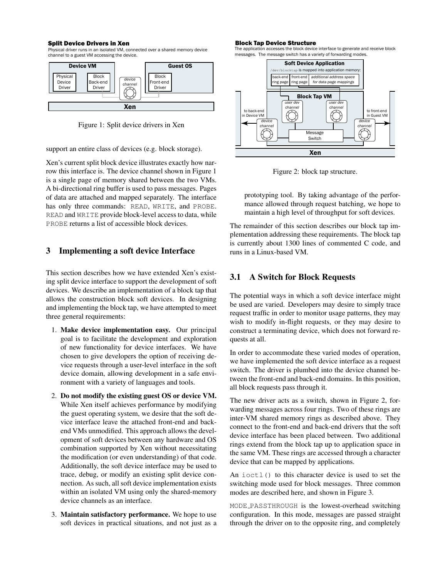#### Split Device Drivers in Xen

Physical driver runs in an isolated VM, connected over a shared memory device channel to a guest VM accessing the device.



Figure 1: Split device drivers in Xen

support an entire class of devices (e.g. block storage).

Xen's current split block device illustrates exactly how narrow this interface is. The device channel shown in Figure 1 is a single page of memory shared between the two VMs. A bi-directional ring buffer is used to pass messages. Pages of data are attached and mapped separately. The interface has only three commands: READ, WRITE, and PROBE. READ and WRITE provide block-level access to data, while PROBE returns a list of accessible block devices.

# **3 Implementing a soft device Interface**

This section describes how we have extended Xen's existing split device interface to support the development of soft devices. We describe an implementation of a block tap that allows the construction block soft devices. In designing and implementing the block tap, we have attempted to meet three general requirements:

- 1. **Make device implementation easy.** Our principal goal is to facilitate the development and exploration of new functionality for device interfaces. We have chosen to give developers the option of receiving device requests through a user-level interface in the soft device domain, allowing development in a safe environment with a variety of languages and tools.
- 2. **Do not modify the existing guest OS or device VM.** While Xen itself achieves performance by modifying the guest operating system, we desire that the soft device interface leave the attached front-end and backend VMs unmodified. This approach allows the development of soft devices between any hardware and OS combination supported by Xen without necessitating the modification (or even understanding) of that code. Additionally, the soft device interface may be used to trace, debug, or modify an existing split device connection. As such, all soft device implementation exists within an isolated VM using only the shared-memory device channels as an interface.
- 3. **Maintain satisfactory performance.** We hope to use soft devices in practical situations, and not just as a

#### Block Tap Device Structure

The application accesses the block device interface to generate and receive block messages. The message switch has a variety of forwarding modes.



Figure 2: block tap structure.

prototyping tool. By taking advantage of the performance allowed through request batching, we hope to maintain a high level of throughput for soft devices.

The remainder of this section describes our block tap implementation addressing these requirements. The block tap is currently about 1300 lines of commented C code, and runs in a Linux-based VM.

# **3.1 A Switch for Block Requests**

The potential ways in which a soft device interface might be used are varied. Developers may desire to simply trace request traffic in order to monitor usage patterns, they may wish to modify in-flight requests, or they may desire to construct a terminating device, which does not forward requests at all.

In order to accommodate these varied modes of operation, we have implemented the soft device interface as a request switch. The driver is plumbed into the device channel between the front-end and back-end domains. In this position, all block requests pass through it.

The new driver acts as a switch, shown in Figure 2, forwarding messages across four rings. Two of these rings are inter-VM shared memory rings as described above. They connect to the front-end and back-end drivers that the soft device interface has been placed between. Two additional rings extend from the block tap up to application space in the same VM. These rings are accessed through a character device that can be mapped by applications.

An ioctl() to this character device is used to set the switching mode used for block messages. Three common modes are described here, and shown in Figure 3.

MODE PASSTHROUGH is the lowest-overhead switching configuration. In this mode, messages are passed straight through the driver on to the opposite ring, and completely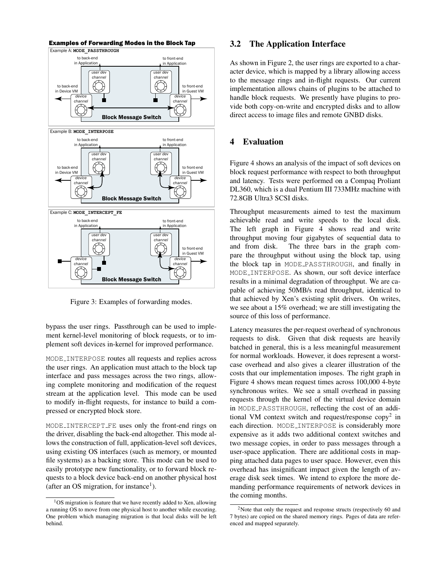

Figure 3: Examples of forwarding modes.

bypass the user rings. Passthrough can be used to implement kernel-level monitoring of block requests, or to implement soft devices in-kernel for improved performance.

MODE INTERPOSE routes all requests and replies across the user rings. An application must attach to the block tap interface and pass messages across the two rings, allowing complete monitoring and modification of the request stream at the application level. This mode can be used to modify in-flight requests, for instance to build a compressed or encrypted block store.

MODE INTERCEPT FE uses only the front-end rings on the driver, disabling the back-end altogether. This mode allows the construction of full, application-level soft devices, using existing OS interfaces (such as memory, or mounted file systems) as a backing store. This mode can be used to easily prototype new functionality, or to forward block requests to a block device back-end on another physical host (after an OS migration, for instance<sup>1</sup>).

#### **3.2 The Application Interface**

As shown in Figure 2, the user rings are exported to a character device, which is mapped by a library allowing access to the message rings and in-flight requests. Our current implementation allows chains of plugins to be attached to handle block requests. We presently have plugins to provide both copy-on-write and encrypted disks and to allow direct access to image files and remote GNBD disks.

# **4 Evaluation**

Figure 4 shows an analysis of the impact of soft devices on block request performance with respect to both throughput and latency. Tests were performed on a Compaq Proliant DL360, which is a dual Pentium III 733MHz machine with 72.8GB Ultra3 SCSI disks.

Throughput measurements aimed to test the maximum achievable read and write speeds to the local disk. The left graph in Figure 4 shows read and write throughput moving four gigabytes of sequential data to and from disk. The three bars in the graph compare the throughput without using the block tap, using the block tap in MODE PASSTHROUGH, and finally in MODE INTERPOSE. As shown, our soft device interface results in a minimal degradation of throughput. We are capable of achieving 50MB/s read throughput, identical to that achieved by Xen's existing split drivers. On writes, we see about a 15% overhead; we are still investigating the source of this loss of performance.

Latency measures the per-request overhead of synchronous requests to disk. Given that disk requests are heavily batched in general, this is a less meaningful measurement for normal workloads. However, it does represent a worstcase overhead and also gives a clearer illustration of the costs that our implementation imposes. The right graph in Figure 4 shows mean request times across 100,000 4-byte synchronous writes. We see a small overhead in passing requests through the kernel of the virtual device domain in MODE PASSTHROUGH, reflecting the cost of an additional VM context switch and request/response copy<sup>2</sup> in each direction. MODE INTERPOSE is considerably more expensive as it adds two additional context switches and two message copies, in order to pass messages through a user-space application. There are additional costs in mapping attached data pages to user space. However, even this overhead has insignificant impact given the length of average disk seek times. We intend to explore the more demanding performance requirements of network devices in the coming months.

<sup>1</sup>OS migration is feature that we have recently added to Xen, allowing a running OS to move from one physical host to another while executing. One problem which managing migration is that local disks will be left behind.

<sup>&</sup>lt;sup>2</sup>Note that only the request and response structs (respectively 60 and 7 bytes) are copied on the shared memory rings. Pages of data are referenced and mapped separately.